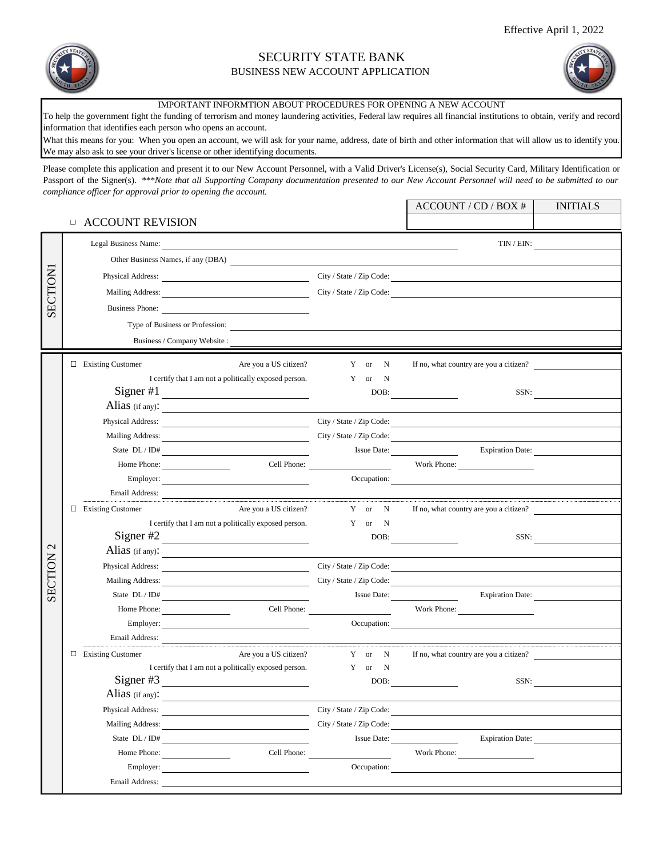

## SECURITY STATE BANK BUSINESS NEW ACCOUNT APPLICATION



INITIALS

ACCOUNT / CD / BOX #

IMPORTANT INFORMTION ABOUT PROCEDURES FOR OPENING A NEW ACCOUNT

To help the government fight the funding of terrorism and money laundering activities, Federal law requires all financial institutions to obtain, verify and record information that identifies each person who opens an account.

What this means for you: When you open an account, we will ask for your name, address, date of birth and other information that will allow us to identify you. We may also ask to see your driver's license or other identifying documents.

Please complete this application and present it to our New Account Personnel, with a Valid Driver's License(s), Social Security Card, Military Identification or Passport of the Signer(s). \*\*\*Note that all Supporting Company documentation presented to our New Account Personnel will need to be submitted to our *compliance officer for approval prior to opening the account.*

## ACCOUNT REVISION

|                   | Legal Business Name:                                                                                                                                                                                                                 |                       |        |                    | TIN / EIN:                             |      |
|-------------------|--------------------------------------------------------------------------------------------------------------------------------------------------------------------------------------------------------------------------------------|-----------------------|--------|--------------------|----------------------------------------|------|
|                   | Other Business Names, if any (DBA)                                                                                                                                                                                                   |                       |        |                    |                                        |      |
|                   | Physical Address: City / State / Zip Code:                                                                                                                                                                                           |                       |        |                    |                                        |      |
| <b>SECTION</b>    | Mailing Address: City / State / Zip Code: City / State / Zip Code:                                                                                                                                                                   |                       |        |                    |                                        |      |
|                   | Business Phone:                                                                                                                                                                                                                      |                       |        |                    |                                        |      |
|                   | Type of Business or Profession:                                                                                                                                                                                                      |                       |        |                    |                                        |      |
|                   | Business / Company Website:                                                                                                                                                                                                          |                       |        |                    |                                        |      |
|                   |                                                                                                                                                                                                                                      |                       |        |                    |                                        |      |
|                   | $\Box$ Existing Customer                                                                                                                                                                                                             | Are you a US citizen? | Y or N |                    | If no, what country are you a citizen? |      |
|                   | I certify that I am not a politically exposed person.                                                                                                                                                                                |                       | Y or   | $\mathbf N$        |                                        |      |
|                   | Signer $#1$<br><u> 1989 - Johann Barbara, martin amerikan personal (</u>                                                                                                                                                             |                       | DOB:   |                    | SSN:                                   |      |
|                   | Alias (if any):                                                                                                                                                                                                                      |                       |        |                    |                                        |      |
|                   | Physical Address: City / State / Zip Code:                                                                                                                                                                                           |                       |        |                    |                                        |      |
|                   | Mailing Address: City / State / Zip Code:                                                                                                                                                                                            |                       |        |                    |                                        |      |
|                   |                                                                                                                                                                                                                                      |                       |        |                    | Issue Date: <u>Expiration Date:</u>    |      |
|                   | Home Phone:                                                                                                                                                                                                                          |                       |        |                    | Work Phone:                            |      |
|                   |                                                                                                                                                                                                                                      |                       |        |                    | Occupation:                            |      |
|                   | Email Address:                                                                                                                                                                                                                       |                       |        |                    |                                        |      |
|                   | $\Box$ Existing Customer                                                                                                                                                                                                             | Are you a US citizen? | Y or N |                    | If no, what country are you a citizen? |      |
|                   | I certify that I am not a politically exposed person.                                                                                                                                                                                |                       | Y or N |                    |                                        |      |
| $\mathbf{\Omega}$ | Signer $#2$                                                                                                                                                                                                                          |                       |        |                    |                                        | SSN: |
|                   | Alias (if any): $\qquad \qquad \qquad$                                                                                                                                                                                               |                       |        |                    |                                        |      |
| SECTION           | Physical Address: City / State / Zip Code:                                                                                                                                                                                           |                       |        |                    |                                        |      |
|                   | City / State / Zip Code:<br>Mailing Address:                                                                                                                                                                                         |                       |        |                    |                                        |      |
|                   | State $DL/ID#$                                                                                                                                                                                                                       |                       |        |                    | Issue Date:<br><b>Expiration Date:</b> |      |
|                   | Home Phone:                                                                                                                                                                                                                          | Cell Phone:           |        |                    | Work Phone:                            |      |
|                   | Employer:                                                                                                                                                                                                                            |                       |        |                    | Occupation:                            |      |
|                   | Email Address: <u>Communications and the contract of the contract of the contract of the contract of the contract of the contract of the contract of the contract of the contract of the contract of the contract of the contrac</u> |                       |        |                    |                                        |      |
|                   | $\Box$ Existing Customer                                                                                                                                                                                                             | Are you a US citizen? | Y or N |                    | If no, what country are you a citizen? |      |
|                   | I certify that I am not a politically exposed person.                                                                                                                                                                                |                       | Y or N |                    |                                        |      |
|                   | Signer $#3$                                                                                                                                                                                                                          |                       |        | DOB:               | SSN:                                   |      |
|                   | Alias (if any): $\frac{1}{\sqrt{2\pi}}$                                                                                                                                                                                              |                       |        |                    |                                        |      |
|                   | Physical Address: City / State / Zip Code:                                                                                                                                                                                           |                       |        |                    |                                        |      |
|                   | Mailing Address:                                                                                                                                                                                                                     |                       |        |                    | City / State / Zip Code:               |      |
|                   | State DL / ID#                                                                                                                                                                                                                       |                       |        | <b>Issue Date:</b> | <b>Expiration Date:</b>                |      |
|                   | Home Phone:                                                                                                                                                                                                                          | Cell Phone:           |        |                    | Work Phone:                            |      |
|                   | Employer:                                                                                                                                                                                                                            |                       |        |                    | Occupation:                            |      |
|                   | Email Address:                                                                                                                                                                                                                       |                       |        |                    |                                        |      |